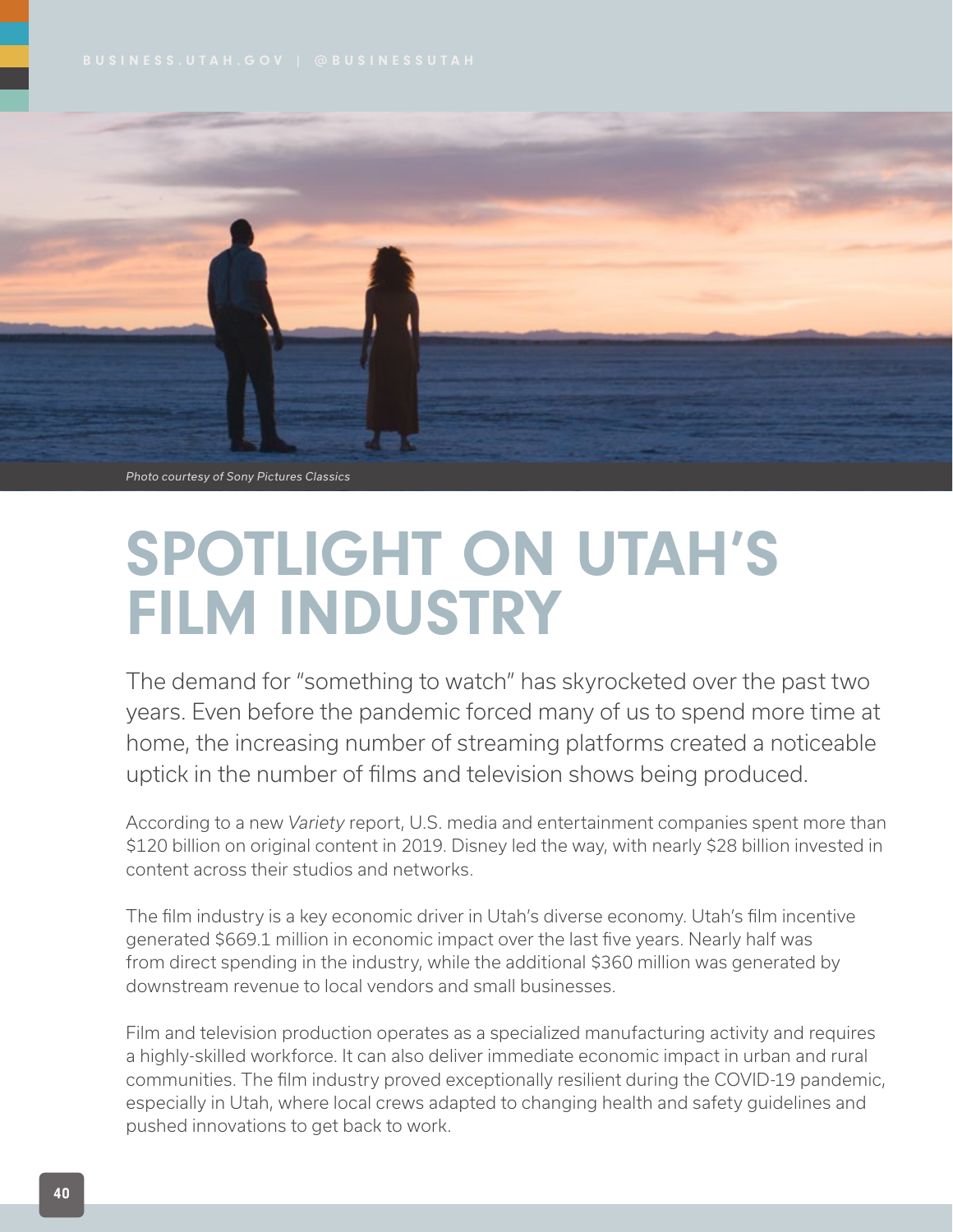

*Photo courtesy of Sony Pictures Classics*

## SPOTLIGHT ON UTAH'S FILM INDUSTRY

The demand for "something to watch" has skyrocketed over the past two years. Even before the pandemic forced many of us to spend more time at home, the increasing number of streaming platforms created a noticeable uptick in the number of films and television shows being produced.

According to a new *Variety* report, U.S. media and entertainment companies spent more than \$120 billion on original content in 2019. Disney led the way, with nearly \$28 billion invested in content across their studios and networks.

The film industry is a key economic driver in Utah's diverse economy. Utah's film incentive generated \$669.1 million in economic impact over the last five years. Nearly half was from direct spending in the industry, while the additional \$360 million was generated by downstream revenue to local vendors and small businesses.

Film and television production operates as a specialized manufacturing activity and requires a highly-skilled workforce. It can also deliver immediate economic impact in urban and rural communities. The film industry proved exceptionally resilient during the COVID-19 pandemic, especially in Utah, where local crews adapted to changing health and safety guidelines and pushed innovations to get back to work.